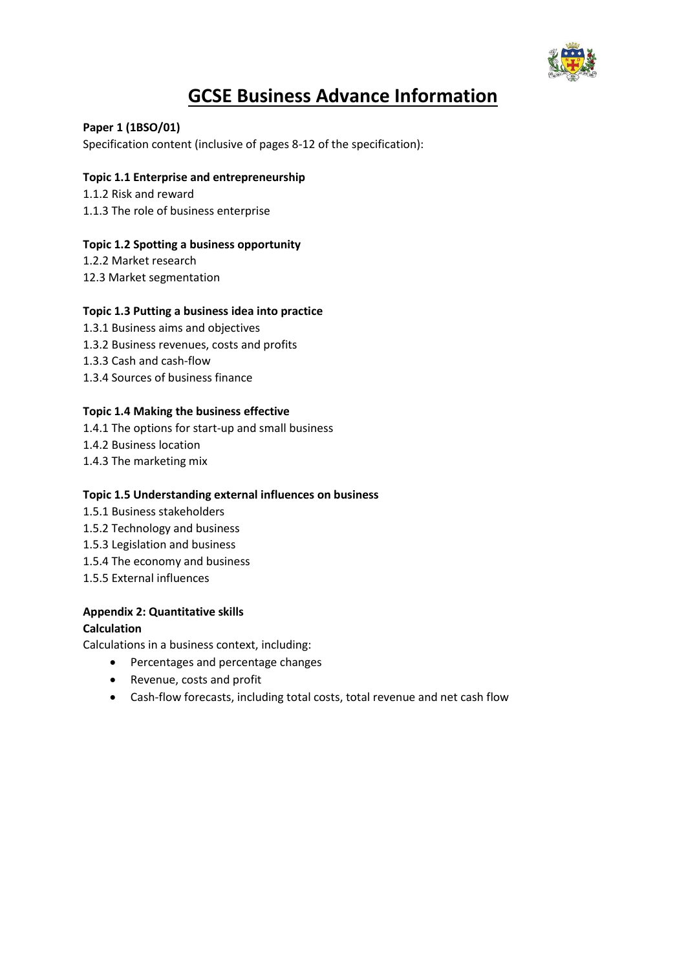

# **GCSE Business Advance Information**

## **Paper 1 (1BSO/01)** Specification content (inclusive of pages 8-12 of the specification):

# **Topic 1.1 Enterprise and entrepreneurship**

1.1.2 Risk and reward 1.1.3 The role of business enterprise

# **Topic 1.2 Spotting a business opportunity**

1.2.2 Market research 12.3 Market segmentation

## **Topic 1.3 Putting a business idea into practice**

1.3.1 Business aims and objectives 1.3.2 Business revenues, costs and profits 1.3.3 Cash and cash-flow 1.3.4 Sources of business finance

# **Topic 1.4 Making the business effective**

1.4.1 The options for start-up and small business

- 1.4.2 Business location
- 1.4.3 The marketing mix

## **Topic 1.5 Understanding external influences on business**

- 1.5.1 Business stakeholders
- 1.5.2 Technology and business
- 1.5.3 Legislation and business
- 1.5.4 The economy and business
- 1.5.5 External influences

## **Appendix 2: Quantitative skills**

# **Calculation**

Calculations in a business context, including:

- Percentages and percentage changes
- Revenue, costs and profit
- Cash-flow forecasts, including total costs, total revenue and net cash flow